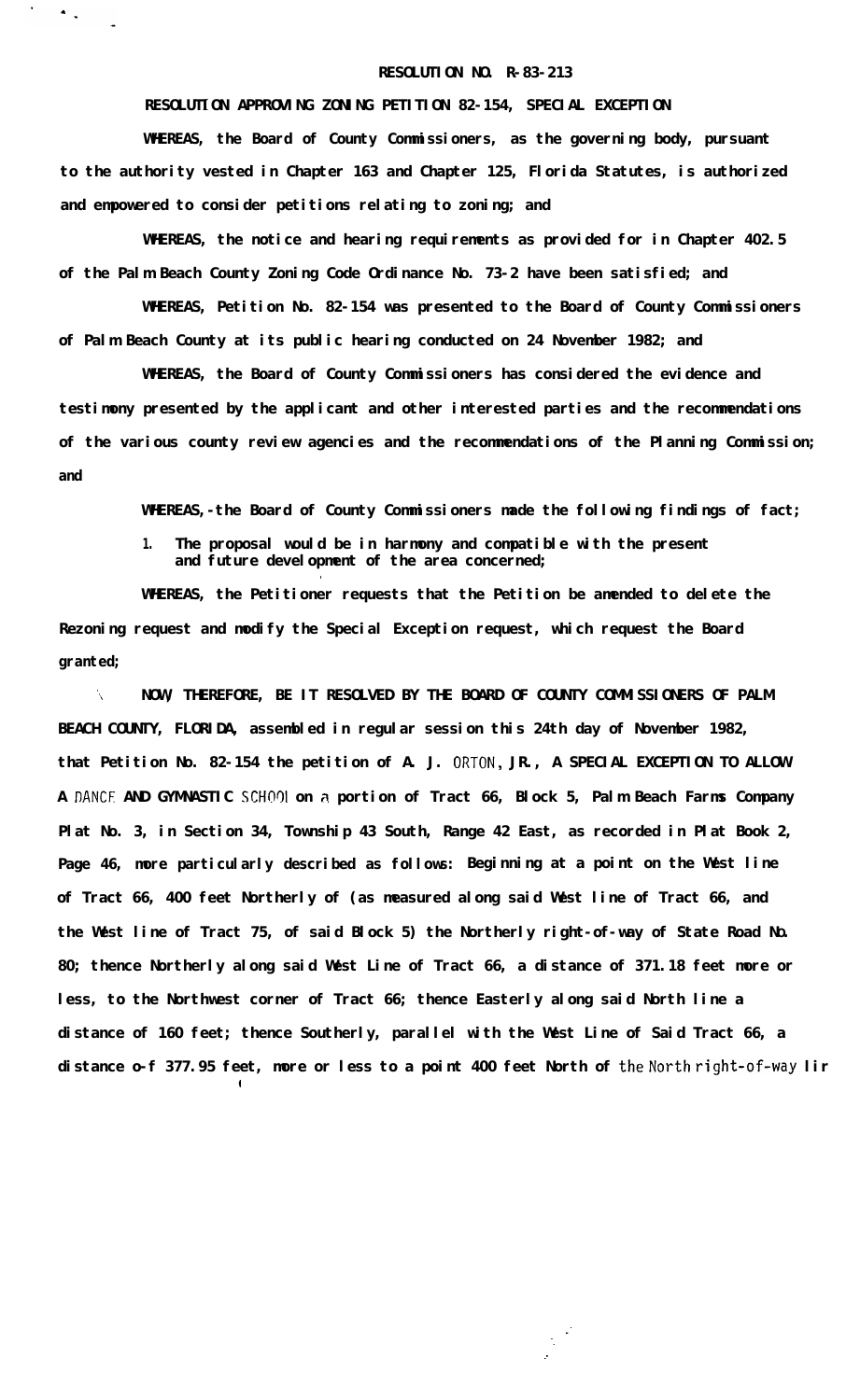## **RESOLUTION NO. R-83-213**

## **RESOLUTION APPROVING ZONING PETITION 82-154, SPECIAL EXCEPTION**

 $\mathbf{A}^{\mathrm{in}}$  .

**WHEREAS, the Board of County Commissioners, as the governing body, pursuant to the authority vested in Chapter 163 and Chapter 125, Florida Statutes, is authorized and empowered to consider petitions relating to zoning; and**

**WHEREAS, the notice and hearing requirements as provided for in Chapter 402.5 of the Palm Beach County Zoning Code Ordinance No. 73-2 have been satisfied; and**

**WHEREAS, Petition No. 82-154 was presented to the Board of County Commissioners of Palm Beach County at its public hearing conducted on 24 November 1982; and**

**WHEREAS, the Board of County Commissioners has considered the evidence and testimony presented by the applicant and other interested parties and the recommendations of the various county review agencies and the recommendations of the Planning Commission; and**

**WHEREAS,-the Board of County Commissioners made the following findings of fact;**

**1. The proposal would be in harmony and compatible with the present and future development of the area concerned;**

**WHEREAS, the Petitioner requests that the Petition be amended to delete the Rezoning request and modify the Special Exception request, which request the Board granted;**

**.**

**I**

**',\ NOW, THEREFORE, BE IT RESOLVED BY THE BOARD OF COUNTY COMMISSIONERS OF PALM BEACH COUNTY, FLORIDA, assembled in regular session this 24th day of November 1982, that Petition No. 82-154 the petition of A. J. ORTON, JR., A SPECIAL EXCEPTION TO ALLOW A DANCE AND GYMNASTIC SCHO91 on a portion of Tract 66, Block 5, Palm Beach Farms Company Plat No. 3, in Section 34, Township 43 South, Range 42 East, as recorded in Plat Book 2, Page 46, more particularly described as follows: Beginning at a point on the West line of Tract 66, 400 feet Northerly of (as measured along said West line of Tract 66, and the West line of Tract 75, of said Block 5) the Northerly right-of-way of State Road NO. 80; thence Northerly along said West Line of Tract 66, a distance of 371.18 feet more or less, to the Northwest corner of Tract 66; thence Easterly along said North line a distance of 160 feet; thence Southerly, parallel with the West Line of Said Tract 66, a** distance o-f 377.95 feet, more or less to a point 400 feet North of the North right-of-way lir

> **: -\_ :**